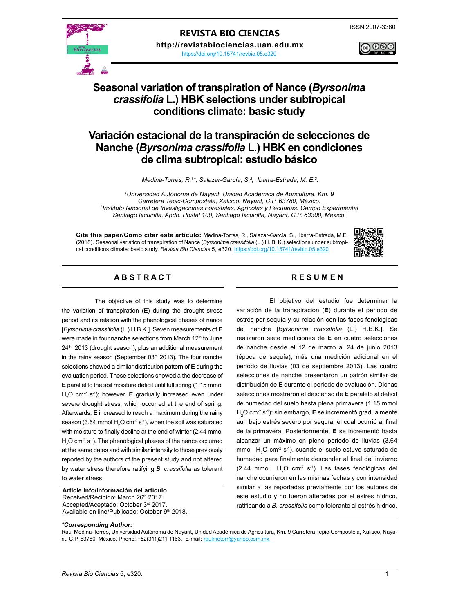#### **REVISTA BIO CIENCIAS**

**http://revistabiociencias.uan.edu.mx** 

<https://doi.org/10.15741/revbio.05.e320>

# @©®

## **Seasonal variation of transpiration of Nance (***Byrsonima crassifolia* **L.) HBK selections under subtropical conditions climate: basic study**

### **Variación estacional de la transpiración de selecciones de Nanche (***Byrsonima crassifolia* **L.) HBK en condiciones de clima subtropical: estudio básico**

Medina-Torres, R.<sup>1\*</sup>, Salazar-García, S.<sup>2</sup>, Ibarra-Estrada, M. E.<sup>2</sup>.

*1 Universidad Autónoma de Nayarit, Unidad Académica de Agricultura, Km. 9 Carretera Tepic-Compostela, Xalisco, Nayarit, C.P. 63780, México. 2 Instituto Nacional de Investigaciones Forestales, Agrícolas y Pecuarias. Campo Experimental Santiago Ixcuintla. Apdo. Postal 100, Santiago Ixcuintla, Nayarit, C.P. 63300, México.* 

**Cite this paper/Como citar este artículo:** Medina-Torres, R., Salazar-García, S., Ibarra-Estrada, M.E. (2018). Seasonal variation of transpiration of Nance (*Byrsonima crassifolia* (L.) H. B. K.) selections under subtropical conditions climate: basic study. *Revista Bio Ciencias* 5, e320.<https://doi.org/10.15741/revbio.05.e320>



### A B S T R A C T RESUMEN

The objective of this study was to determine the variation of transpiration (**E**) during the drought stress period and its relation with the phenological phases of nance [*Byrsonima crassifolia* (L.) H.B.K.]. Seven measurements of **E** were made in four nanche selections from March 12<sup>th</sup> to June 24<sup>th</sup> 2013 (drought season), plus an additional measurement in the rainy season (September 03rd 2013). The four nanche selections showed a similar distribution pattern of **E** during the evaluation period. These selections showed a the decrease of **E** parallel to the soil moisture deficit until full spring (1.15 mmol H<sub>2</sub>O cm<sup>-2</sup> s<sup>-1</sup>); however, **E** gradually increased even under severe drought stress, which occurred at the end of spring. Afterwards, **E** increased to reach a maximum during the rainy season (3.64 mmol  $H_2O$  cm<sup>-2</sup> s<sup>-1</sup>), when the soil was saturated with moisture to finally decline at the end of winter (2.44 mmol  $H<sub>2</sub>$ O cm<sup>-2</sup> s<sup>-1</sup>). The phenological phases of the nance occurred at the same dates and with similar intensity to those previously reported by the authors of the present study and not altered by water stress therefore ratifying *B. crassifolia* as tolerant to water stress.

**Article Info/Información del artículo** Received/Recibido: March 26th 2017. Accepted/Aceptado: October 3rd 2017. Available on line/Publicado: October 9<sup>th</sup> 2018.

El objetivo del estudio fue determinar la variación de la transpiración (**E**) durante el periodo de estrés por sequía y su relación con las fases fenológicas del nanche [*Byrsonima crassifolia* (L.) H.B.K.]. Se realizaron siete mediciones de **E** en cuatro selecciones de nanche desde el 12 de marzo al 24 de junio 2013 (época de sequía), más una medición adicional en el periodo de lluvias (03 de septiembre 2013). Las cuatro selecciones de nanche presentaron un patrón similar de distribución de **E** durante el periodo de evaluación. Dichas selecciones mostraron el descenso de **E** paralelo al déficit de humedad del suelo hasta plena primavera (1.15 mmol H2 O cm-2 s-1); sin embargo, **E** se incrementó gradualmente aún bajo estrés severo por sequía, el cual ocurrió al final de la primavera. Posteriormente, **E** se incrementó hasta alcanzar un máximo en pleno periodo de lluvias (3.64 mmol  $H_2O$  cm<sup>-2</sup> s<sup>-1</sup>), cuando el suelo estuvo saturado de humedad para finalmente descender al final del invierno  $(2.44 \text{ mmol H}_2O \text{ cm}^2 \text{ s}^1)$ . Las fases fenológicas del nanche ocurrieron en las mismas fechas y con intensidad similar a las reportadas previamente por los autores de este estudio y no fueron alteradas por el estrés hídrico, ratificando a *B. crassifolia* como tolerante al estrés hídrico.

#### *\*Corresponding Author:*

Raul Medina-Torres, Universidad Autónoma de Nayarit, Unidad Académica de Agricultura, Km. 9 Carretera Tepic-Compostela, Xalisco, Nayarit, C.P. 63780, México. Phone: +52(311)211 1163. E-mail: raulmetorr@yahoo.com.mx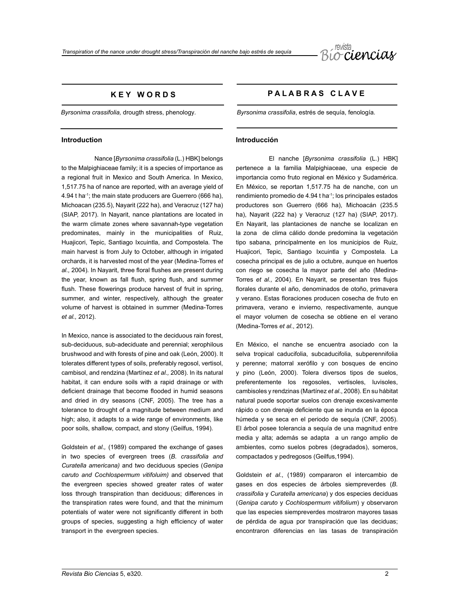

### **K E Y W O R D S**

*Byrsonima crassifolia,* drougth stress, phenology*.*

#### **Introduction**

Nance [*Byrsonima crassifolia* (L.) HBK] belongs to the Malpighiaceae family; it is a species of importance as a regional fruit in Mexico and South America. In Mexico, 1,517.75 ha of nance are reported, with an average yield of 4.94 t ha-1; the main state producers are Guerrero (666 ha), Michoacan (235.5), Nayarit (222 ha), and Veracruz (127 ha) (SIAP, 2017). In Nayarit, nance plantations are located in the warm climate zones where savannah-type vegetation predominates, mainly in the municipalities of Ruiz, Huajicori, Tepic, Santiago Ixcuintla, and Compostela. The main harvest is from July to October, although in irrigated orchards, it is harvested most of the year (Medina-Torres *et al.,* 2004)*.* In Nayarit, three floral flushes are present during the year, known as fall flush, spring flush, and summer flush. These flowerings produce harvest of fruit in spring, summer, and winter, respectively, although the greater volume of harvest is obtained in summer (Medina-Torres *et al.,* 2012).

In Mexico, nance is associated to the deciduous rain forest, sub-deciduous, sub-adeciduate and perennial; xerophilous brushwood and with forests of pine and oak (León, 2000). It tolerates different types of soils, preferably regosol, vertisol, cambisol, and rendzina (Martínez *et al.,* 2008). In its natural habitat, it can endure soils with a rapid drainage or with deficient drainage that become flooded in humid seasons and dried in dry seasons (CNF, 2005). The tree has a tolerance to drought of a magnitude between medium and high; also, it adapts to a wide range of environments, like poor soils, shallow, compact, and stony (Geilfus, 1994).

Goldstein *et al.,* (1989) compared the exchange of gases in two species of evergreen trees (*B. crassifolia and Curatella americana)* and two deciduous species (*Genipa caruto and Cochlospermum vitifoluim)* and observed that the evergreen species showed greater rates of water loss through transpiration than deciduous; differences in the transpiration rates were found, and that the minimum potentials of water were not significantly different in both groups of species, suggesting a high efficiency of water transport in the evergreen species.

#### **P A L A B R A S C L A V E**

*Byrsonima crassifolia*, estrés de sequía, fenología.

#### **Introducción**

El nanche [*Byrsonima crassifolia* (L.) HBK] pertenece a la familia Malpighiaceae, una especie de importancia como fruto regional en México y Sudamérica. En México, se reportan 1,517.75 ha de nanche, con un rendimiento promedio de 4.94 t ha<sup>-1</sup>; los principales estados productores son Guerrero (666 ha), Michoacán (235.5 ha), Nayarit (222 ha) y Veracruz (127 ha) (SIAP, 2017). En Nayarit, las plantaciones de nanche se localizan en la zona de clima cálido donde predomina la vegetación tipo sabana, principalmente en los municipios de Ruiz, Huajicori, Tepic, Santiago Ixcuintla y Compostela. La cosecha principal es de julio a octubre, aunque en huertos con riego se cosecha la mayor parte del año (Medina-Torres *et al.,* 2004). En Nayarit, se presentan tres flujos florales durante el año, denominados de otoño, primavera y verano. Estas floraciones producen cosecha de fruto en primavera, verano e invierno, respectivamente, aunque el mayor volumen de cosecha se obtiene en el verano (Medina-Torres *et al*., 2012).

En México, el nanche se encuentra asociado con la selva tropical caducifolia, subcaducifolia, subperennifolia y perenne; matorral xerófilo y con bosques de encino y pino (León, 2000). Tolera diversos tipos de suelos, preferentemente los regosoles, vertisoles, luvisoles, cambisoles y rendzinas (Martínez *et al*., 2008). En su hábitat natural puede soportar suelos con drenaje excesivamente rápido o con drenaje deficiente que se inunda en la época húmeda y se seca en el periodo de sequía (CNF, 2005). El árbol posee tolerancia a sequía de una magnitud entre media y alta; además se adapta a un rango amplio de ambientes, como suelos pobres (degradados), someros, compactados y pedregosos (Geilfus,1994).

Goldstein *et al*., (1989) compararon el intercambio de gases en dos especies de árboles siempreverdes (*B. crassifolia* y *Curatella americana*) y dos especies deciduas (*Genipa caruto* y *Cochlospermum vitifolium*) y observaron que las especies siempreverdes mostraron mayores tasas de pérdida de agua por transpiración que las deciduas; encontraron diferencias en las tasas de transpiración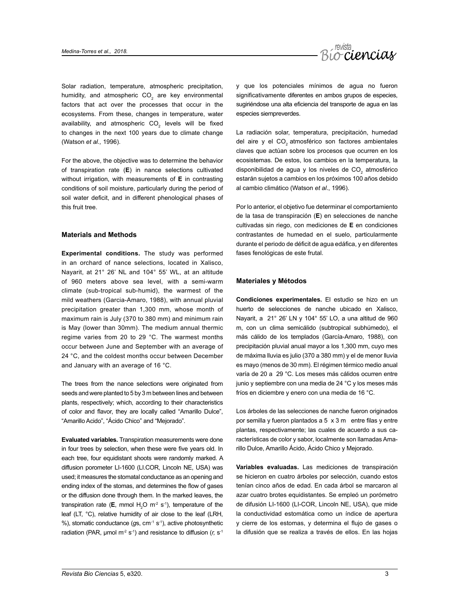

Solar radiation, temperature, atmospheric precipitation, humidity, and atmospheric  $CO<sub>2</sub>$  are key environmental factors that act over the processes that occur in the ecosystems. From these, changes in temperature, water availability, and atmospheric  $CO<sub>2</sub>$  levels will be fixed to changes in the next 100 years due to climate change (Watson *et al.,* 1996).

For the above, the objective was to determine the behavior of transpiration rate (**E**) in nance selections cultivated without irrigation, with measurements of **E** in contrasting conditions of soil moisture, particularly during the period of soil water deficit, and in different phenological phases of this fruit tree.

#### **Materials and Methods**

**Experimental conditions.** The study was performed in an orchard of nance selections, located in Xalisco, Nayarit, at 21° 26' NL and 104° 55' WL, at an altitude of 960 meters above sea level, with a semi-warm climate (sub-tropical sub-humid), the warmest of the mild weathers (Garcia-Amaro, 1988), with annual pluvial precipitation greater than 1,300 mm, whose month of maximum rain is July (370 to 380 mm) and minimum rain is May (lower than 30mm). The medium annual thermic regime varies from 20 to 29 °C. The warmest months occur between June and September with an average of 24 °C, and the coldest months occur between December and January with an average of 16 °C.

The trees from the nance selections were originated from seeds and were planted to 5 by 3 m between lines and between plants, respectively; which, according to their characteristics of color and flavor, they are locally called "Amarillo Dulce", "Amarillo Acido", "Ácido Chico" and "Mejorado".

**Evaluated variables.** Transpiration measurements were done in four trees by selection, when these were five years old. In each tree, four equidistant shoots were randomly marked. A diffusion porometer LI-1600 (LI.COR, Lincoln NE, USA) was used; it measures the stomatal conductance as an opening and ending index of the stomas, and determines the flow of gases or the diffusion done through them. In the marked leaves, the transpiration rate (**E**, mmol  $H_2O$  m<sup>-2</sup> s<sup>-1</sup>), temperature of the leaf (LT, °C), relative humidity of air close to the leaf (LRH, %), stomatic conductance (*g*s, cm-1 s-1), active photosynthetic radiation (PAR, µmol m<sup>-2</sup> s<sup>-1</sup>) and resistance to diffusion (*r*, s<sup>-1</sup>)

y que los potenciales mínimos de agua no fueron significativamente diferentes en ambos grupos de especies. sugiriéndose una alta eficiencia del transporte de agua en las especies siempreverdes.

La radiación solar, temperatura, precipitación, humedad del aire y el CO<sub>2</sub> atmosférico son factores ambientales claves que actúan sobre los procesos que ocurren en los ecosistemas. De estos, los cambios en la temperatura, la disponibilidad de agua y los niveles de  $CO<sub>2</sub>$  atmosférico estarán sujetos a cambios en los próximos 100 años debido al cambio climático (Watson *et al*., 1996).

Por lo anterior, el objetivo fue determinar el comportamiento de la tasa de transpiración (**E**) en selecciones de nanche cultivadas sin riego, con mediciones de **E** en condiciones contrastantes de humedad en el suelo, particularmente durante el periodo de déficit de agua edáfica, y en diferentes fases fenológicas de este frutal.

#### **Materiales y Métodos**

**Condiciones experimentales.** El estudio se hizo en un huerto de selecciones de nanche ubicado en Xalisco, Nayarit, a 21° 26' LN y 104° 55' LO, a una altitud de 960 m, con un clima semicálido (subtropical subhúmedo), el más cálido de los templados (García-Amaro, 1988), con precipitación pluvial anual mayor a los 1,300 mm, cuyo mes de máxima lluvia es julio (370 a 380 mm) y el de menor lluvia es mayo (menos de 30 mm). El régimen térmico medio anual varía de 20 a 29 °C. Los meses más cálidos ocurren entre junio y septiembre con una media de 24 °C y los meses más fríos en diciembre y enero con una media de 16 °C.

Los árboles de las selecciones de nanche fueron originados por semilla y fueron plantados a 5 x 3 m entre filas y entre plantas, respectivamente; las cuales de acuerdo a sus características de color y sabor, localmente son llamadas Amarillo Dulce, Amarillo Ácido, Ácido Chico y Mejorado.

**Variables evaluadas.** Las mediciones de transpiración se hicieron en cuatro árboles por selección, cuando estos tenían cinco años de edad. En cada árbol se marcaron al azar cuatro brotes equidistantes. Se empleó un porómetro de difusión LI-1600 (LI-COR, Lincoln NE, USA), que mide la conductividad estomática como un índice de apertura y cierre de los estomas, y determina el flujo de gases o la difusión que se realiza a través de ellos. En las hojas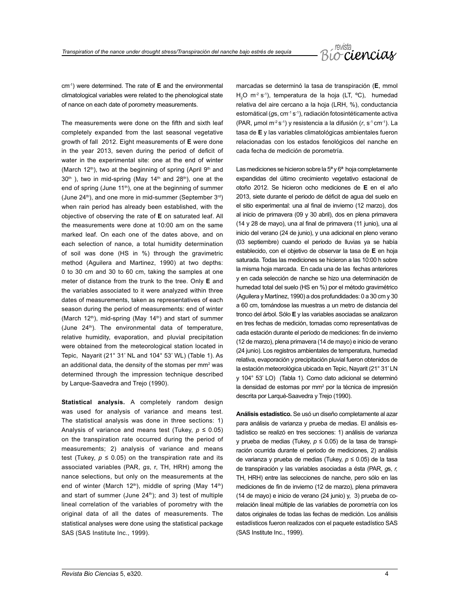

cm-1) were determined. The rate of **E** and the environmental climatological variables were related to the phenological state of nance on each date of porometry measurements.

The measurements were done on the fifth and sixth leaf completely expanded from the last seasonal vegetative growth of fall 2012. Eight measurements of **E** were done in the year 2013, seven during the period of deficit of water in the experimental site: one at the end of winter (March 12<sup>th</sup>), two at the beginning of spring (April 9<sup>th</sup> and  $30<sup>th</sup>$ ), two in mid-spring (May 14<sup>th</sup> and 28<sup>th</sup>), one at the end of spring (June 11<sup>th</sup>), one at the beginning of summer (June  $24<sup>th</sup>$ ), and one more in mid-summer (September  $3<sup>rd</sup>$ ) when rain period has already been established, with the objective of observing the rate of **E** on saturated leaf. All the measurements were done at 10:00 am on the same marked leaf. On each one of the dates above, and on each selection of nance, a total humidity determination of soil was done (HS in %) through the gravimetric method (Aguilera and Martinez, 1990) at two depths: 0 to 30 cm and 30 to 60 cm, taking the samples at one meter of distance from the trunk to the tree. Only **E** and the variables associated to it were analyzed within three dates of measurements, taken as representatives of each season during the period of measurements: end of winter (March 12<sup>th</sup>), mid-spring (May 14<sup>th</sup>) and start of summer (June 24<sup>th</sup>). The environmental data of temperature, relative humidity, evaporation, and pluvial precipitation were obtained from the meteorological station located in Tepic, Nayarit (21° 31' NL and 104° 53' WL) (Table 1). As an additional data, the density of the stomas per mm<sup>2</sup> was determined through the impression technique described by Larque-Saavedra and Trejo (1990).

**Statistical analysis.** A completely random design was used for analysis of variance and means test. The statistical analysis was done in three sections: 1) Analysis of variance and means test (Tukey,  $p \le 0.05$ ) on the transpiration rate occurred during the period of measurements; 2) analysis of variance and means test (Tukey,  $p \le 0.05$ ) on the transpiration rate and its associated variables (PAR, *gs*, r, TH, HRH) among the nance selections, but only on the measurements at the end of winter (March 12<sup>th</sup>), middle of spring (May 14<sup>th</sup>) and start of summer (June 24<sup>th</sup>); and 3) test of multiple lineal correlation of the variables of porometry with the original data of all the dates of measurements. The statistical analyses were done using the statistical package SAS (SAS Institute Inc., 1999).

marcadas se determinó la tasa de transpiración (**E**, mmol  $H<sub>2</sub>O$  m<sup>-2</sup> s<sup>-1</sup>), temperatura de la hoja (LT, °C), humedad relativa del aire cercano a la hoja (LRH, %), conductancia estomátical (gs, cm<sup>-1</sup> s<sup>-1</sup>), radiación fotosintéticamente activa (PAR, µmol m-2 s-1) y resistencia a la difusión (*r*, s-1 cm-1). La tasa de **E** y las variables climatológicas ambientales fueron relacionadas con los estados fenológicos del nanche en cada fecha de medición de porometría.

Las mediciones se hicieron sobre la 5<sup>ª</sup> y 6<sup>ª</sup> hoja completamente expandidas del último crecimiento vegetativo estacional de otoño 2012. Se hicieron ocho mediciones de **E** en el año 2013, siete durante el periodo de déficit de agua del suelo en el sitio experimental: una al final de invierno (12 marzo), dos al inicio de primavera (09 y 30 abril), dos en plena primavera (14 y 28 de mayo), una al final de primavera (11 junio), una al inicio del verano (24 de junio), y una adicional en pleno verano (03 septiembre) cuando el periodo de lluvias ya se había establecido, con el objetivo de observar la tasa de **E** en hoja saturada. Todas las mediciones se hicieron a las 10:00 h sobre la misma hoja marcada. En cada una de las fechas anteriores y en cada selección de nanche se hizo una determinación de humedad total del suelo (HS en %) por el método gravimétrico (Aguilera y Martínez, 1990) a dos profundidades: 0 a 30 cm y 30 a 60 cm, tomándose las muestras a un metro de distancia del tronco del árbol. Sólo **E** y las variables asociadas se analizaron en tres fechas de medición, tomadas como representativas de cada estación durante el período de mediciones: fin de invierno (12 de marzo), plena primavera (14 de mayo) e inicio de verano (24 junio). Los registros ambientales de temperatura, humedad relativa, evaporación y precipitación pluvial fueron obtenidos de la estación meteorológica ubicada en Tepic, Nayarit (21° 31' LN y 104° 53' LO) (Tabla 1). Como dato adicional se determinó la densidad de estomas por mm<sup>2</sup> por la técnica de impresión descrita por Larqué-Saavedra y Trejo (1990).

**Análisis estadístico.** Se usó un diseño completamente al azar para análisis de varianza y prueba de medias. El análisis estadístico se realizó en tres secciones: 1) análisis de varianza y prueba de medias (Tukey, *p* ≤ 0.05) de la tasa de transpiración ocurrida durante el periodo de mediciones, 2) análisis de varianza y prueba de medias (Tukey, *p* ≤ 0.05) de la tasa de transpiración y las variables asociadas a ésta (PAR, *g*s, *r,* TH, HRH) entre las selecciones de nanche, pero sólo en las mediciones de fin de invierno (12 de marzo), plena primavera (14 de mayo) e inicio de verano (24 junio) y, 3) prueba de correlación lineal múltiple de las variables de porometría con los datos originales de todas las fechas de medición. Los análisis estadísticos fueron realizados con el paquete estadístico SAS (SAS Institute Inc., 1999).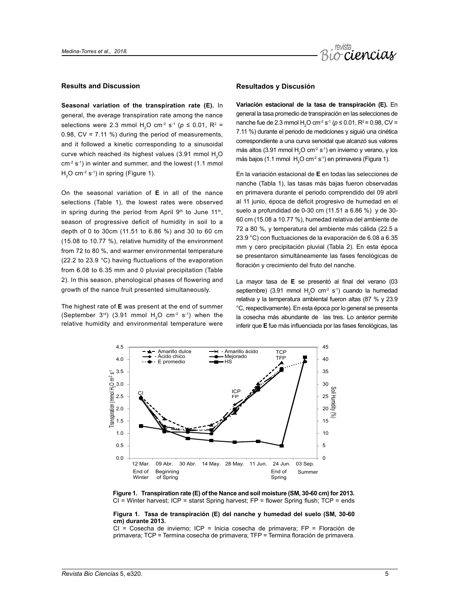

#### **Results and Discussion**

**Seasonal variation of the transpiration rate (E).** In general, the average transpiration rate among the nance selections were 2.3 mmol H<sub>2</sub>O cm<sup>-2</sup> s<sup>-1</sup> ( $p \le 0.01$ , R<sup>2</sup> = 0.98,  $CV = 7.11$  %) during the period of measurements, and it followed a kinetic corresponding to a sinusoidal curve which reached its highest values (3.91 mmol H<sub>2</sub>O  $cm<sup>-2</sup> s<sup>-1</sup>$ ) in winter and summer, and the lowest (1.1 mmol)  $H<sub>2</sub>O cm<sup>-2</sup> s<sup>-1</sup>$ ) in spring (Figure 1).

On the seasonal variation of **E** in all of the nance selections (Table 1), the lowest rates were observed in spring during the period from April 9th to June 11th, season of progressive deficit of humidity in soil to a depth of 0 to 30cm (11.51 to 6.86 %) and 30 to 60 cm (15.08 to 10.77 %), relative humidity of the environment from 72 to 80 %, and warmer environmental temperature (22.2 to 23.9 °C) having fluctuations of the evaporation from 6.08 to 6.35 mm and 0 pluvial precipitation (Table 2). In this season, phenological phases of flowering and growth of the nance fruit presented simultaneously.

The highest rate of **E** was present at the end of summer (September  $3^{rd}$ ) (3.91 mmol  $H<sub>2</sub>O$  cm<sup>-2</sup> s<sup>-1</sup>) when the relative humidity and environmental temperature were

#### **Resultados y Discusión**

**Variación estacional de la tasa de transpiración (E).** En general la tasa promedio de transpiración en las selecciones de nanche fue de 2.3 mmol H<sub>2</sub>O cm<sup>-2</sup> s<sup>-1</sup> ( $p$  ≤ 0.01, R<sup>2</sup> = 0.98, CV = 7.11 %) durante el periodo de mediciones y siguió una cinética correspondiente a una curva senoidal que alcanzó sus valores más altos (3.91 mmol  $H_2O$  cm<sup>-2</sup> s<sup>-1</sup>) en invierno y verano, y los más bajos (1.1 mmol  $H_2O$  cm<sup>2</sup> s<sup>-1</sup>) en primavera (Figura 1).

En la variación estacional de **E** en todas las selecciones de nanche (Tabla 1), las tasas más bajas fueron observadas en primavera durante el periodo comprendido del 09 abril al 11 junio, época de déficit progresivo de humedad en el suelo a profundidad de 0-30 cm (11.51 a 6.86 %) y de 30- 60 cm (15.08 a 10.77 %), humedad relativa del ambiente de 72 a 80 %, y temperatura del ambiente más cálida (22.5 a 23.9 °C) con fluctuaciones de la evaporación de 6.08 a 6.35 mm y cero precipitación pluvial (Tabla 2). En esta época se presentaron simultáneamente las fases fenológicas de floración y crecimiento del fruto del nanche.

La mayor tasa de **E** se presentó al final del verano (03 septiembre) (3.91 mmol  $H_2O$  cm<sup>2</sup> s<sup>-1</sup>) cuando la humedad relativa y la temperatura ambiental fueron altas (87 % y 23.9 °C, respectivamente). En esta época por lo general se presenta la cosecha más abundante de las tres. Lo anterior permite inferir que **E** fue más influenciada por las fases fenológicas, las



**Figure 1. Transpiration rate (E) of the Nance and soil moisture (SM, 30-60 cm) for 2013.**  CI = Winter harvest; ICP = starst Spring harvest; FP = flower Spring flush; TCP = ends

#### **Figura 1. Tasa de transpiración (E) del nanche y humedad del suelo (SM, 30-60 cm) durante 2013.**

CI = Cosecha de invierno; ICP = Inicia cosecha de primavera; FP = Floración de primavera; TCP = Termina cosecha de primavera; TFP = Termina floración de primavera.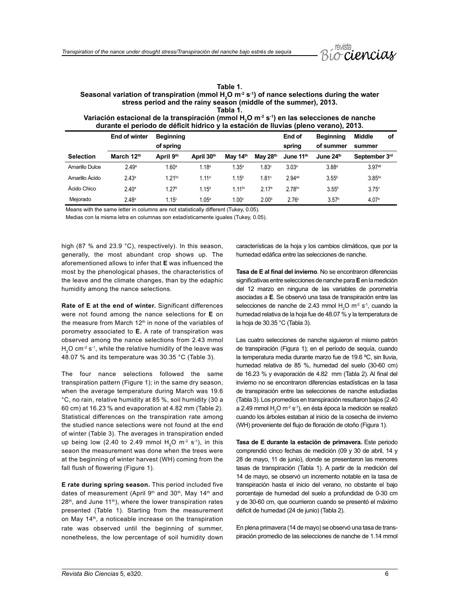

| Table 1.                                                                                                             |
|----------------------------------------------------------------------------------------------------------------------|
| Seasonal variation of transpiration (mmol H,O m <sup>-2</sup> s <sup>-1</sup> ) of nance selections during the water |
| stress period and the rainy season (middle of the summer), 2013.                                                     |
| Tabla 1.                                                                                                             |

**Variación estacional de la transpiración (mmol H2 O m-2 s-1) en las selecciones de nanche durante el periodo de déficit hídrico y la estación de lluvias (pleno verano), 2013.**

|                  | <b>End of winter</b> | <b>Beginning</b>  |                   |                   |                   | End of               | <b>Beainnina</b>  | <b>Middle</b><br>οf  |
|------------------|----------------------|-------------------|-------------------|-------------------|-------------------|----------------------|-------------------|----------------------|
|                  |                      | of spring         |                   |                   |                   | spring               | of summer         | summer               |
| <b>Selection</b> | March 12th           | April 9th         | April 30th        | May 14th          | May 28th          | June 11th            | June 24th         | September 3rd        |
| Amarillo Dulce   | 2.49a                | 1.60 <sup>a</sup> | .18 <sup>a</sup>  | 1.35 <sup>a</sup> | 1.83c             | 3.03 <sup>a</sup>    | 3.88 <sup>a</sup> | 3.97ab               |
| Amarillo Ácido   | 2.43 <sup>a</sup>    | $1.21^{bc}$       | 1.11a             | 1.15 <sup>b</sup> | 1.81 <sup>c</sup> | $2.94$ <sup>ab</sup> | 3.55 <sup>b</sup> | $3.85$ <sub>bc</sub> |
| Ácido Chico      | 2.40 <sup>a</sup>    | 1.27 <sup>b</sup> | 1.15 <sup>a</sup> | $1.11^{bc}$       | 2.17 <sup>a</sup> | 2.78bc               | 3.55 <sup>b</sup> | 3.75c                |
| Meiorado         | 2.48 <sup>a</sup>    | 1.15 <sup>c</sup> | 1.05 <sup>a</sup> | 1.00 <sup>c</sup> | 2.00 <sup>b</sup> | 2.76 <sup>c</sup>    | 3.57 <sup>b</sup> | 4.07 <sup>a</sup>    |

Means with the same letter in columns are not statistically different (Tukey, 0.05).

Medias con la misma letra en columnas son estadísticamente iguales (Tukey, 0.05).

high (87 % and 23.9 °C), respectively). In this season, generally, the most abundant crop shows up. The aforementioned allows to infer that **E** was influenced the most by the phenological phases, the characteristics of the leave and the climate changes, than by the edaphic humidity among the nance selections.

**Rate of E at the end of winter.** Significant differences were not found among the nance selections for **E** on the measure from March  $12<sup>th</sup>$  in none of the variables of porometry associated to **E.** A rate of transpiration was observed among the nance selections from 2.43 mmol  $H<sub>2</sub>O cm<sup>-2</sup> s<sup>-1</sup>$ , while the relative humidity of the leave was 48.07 % and its temperature was 30.35 °C (Table 3).

The four nance selections followed the same transpiration pattern (Figure 1); in the same dry season, when the average temperature during March was 19.6 °C, no rain, relative humidity at 85 %, soil humidity (30 a 60 cm) at 16.23 % and evaporation at 4.82 mm (Table 2). Statistical differences on the transpiration rate among the studied nance selections were not found at the end of winter (Table 3). The averages in transpiration ended up being low (2.40 to 2.49 mmol  $H<sub>2</sub>O$  m<sup>-2</sup> s<sup>-1</sup>), in this seaon the measurement was done when the trees were at the beginning of winter harvest (WH) coming from the fall flush of flowering (Figure 1).

**E rate during spring season.** This period included five dates of measurement (April 9<sup>th</sup> and 30<sup>th</sup>, May 14<sup>th</sup> and  $28<sup>th</sup>$ , and June 11<sup>th</sup>), where the lower transpiration rates presented (Table 1). Starting from the measurement on May 14th, a noticeable increase on the transpiration rate was observed until the beginning of summer, nonetheless, the low percentage of soil humidity down

características de la hoja y los cambios climáticos, que por la humedad edáfica entre las selecciones de nanche.

**Tasa de E al final del invierno**. No se encontraron diferencias significativas entre selecciones de nanche para **E** en la medición del 12 marzo en ninguna de las variables de porometría asociadas a **E**. Se observó una tasa de transpiración entre las selecciones de nanche de 2.43 mmol  $H_2O$  m<sup>-2</sup> s<sup>-1</sup>, cuando la humedad relativa de la hoja fue de 48.07 % y la temperatura de la hoja de 30.35 °C (Tabla 3).

Las cuatro selecciones de nanche siguieron el mismo patrón de transpiración (Figura 1); en el período de sequía, cuando la temperatura media durante marzo fue de 19.6 ºC, sin lluvia, humedad relativa de 85 %, humedad del suelo (30-60 cm) de 16.23 % y evaporación de 4.82 mm (Tabla 2). Al final del invierno no se encontraron diferencias estadísticas en la tasa de transpiración entre las selecciones de nanche estudiadas (Tabla 3). Los promedios en transpiración resultaron bajos (2.40 a 2.49 mmol  $H_2O$  m<sup>-2</sup> s<sup>-1</sup>), en ésta época la medición se realizó cuando los árboles estaban al inicio de la cosecha de invierno (WH) proveniente del flujo de floración de otoño (Figura 1).

**Tasa de E durante la estación de primavera.** Este periodo comprendió cinco fechas de medición (09 y 30 de abril, 14 y 28 de mayo, 11 de junio), donde se presentaron las menores tasas de transpiración (Tabla 1). A partir de la medición del 14 de mayo, se observó un incremento notable en la tasa de transpiración hasta el inicio del verano, no obstante el bajo porcentaje de humedad del suelo a profundidad de 0-30 cm y de 30-60 cm, que ocurrieron cuando se presentó el máximo déficit de humedad (24 de junio) (Tabla 2).

En plena primavera (14 de mayo) se observó una tasa de transpiración promedio de las selecciones de nanche de 1.14 mmol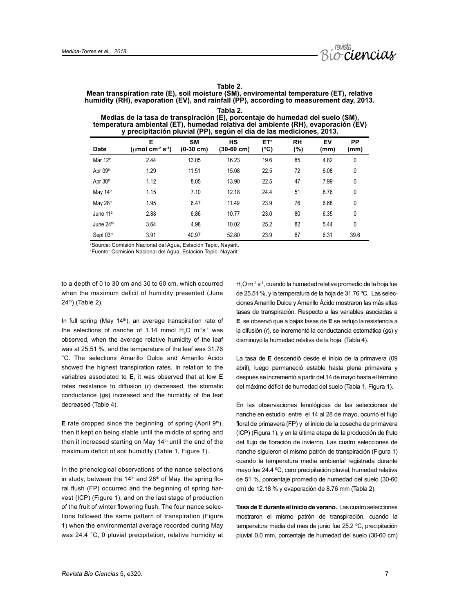

#### **Table 2.**

**Mean transpiration rate (E), soil moisture (SM), enviromental temperature (ET), relative**  humidity (RH), evaporation (EV), and rainfall (PP), according to measurement day, 2013. **Tabla 2.**

**Medias de la tasa de transpiración (E), porcentaje de humedad del suelo (SM), temperatura ambiental (ET), humedad relativa del ambiente (RH), evaporación (EV) y precipitación pluvial (PP), según el día de las mediciones, 2013.** 

| <b>Date</b>           | Е<br>(umol cm <sup>-2</sup> s <sup>-1</sup> ) | <b>SM</b><br>$(0-30$ cm) | <b>HS</b><br>(30-60 cm) | ET <sup>z</sup><br>(°C) | <b>RH</b><br>(%) | EV<br>(mm) | <b>PP</b><br>(mm) |
|-----------------------|-----------------------------------------------|--------------------------|-------------------------|-------------------------|------------------|------------|-------------------|
| Mar 12 <sup>th</sup>  | 2.44                                          | 13.05                    | 16.23                   | 19.6                    | 85               | 4.82       | 0                 |
| Apr 09th              | 1.29                                          | 11.51                    | 15.08                   | 22.5                    | 72               | 6.08       | 0                 |
| Apr 30th              | 1.12                                          | 8.05                     | 13.90                   | 22.5                    | 47               | 7.99       | 0                 |
| May 14th              | 1.15                                          | 7.10                     | 12.18                   | 24.4                    | 51               | 8.76       | 0                 |
| May 28th              | 1.95                                          | 6.47                     | 11.49                   | 23.9                    | 76               | 6.68       | 0                 |
| June 11 <sup>th</sup> | 2.88                                          | 6.86                     | 10.77                   | 23.0                    | 80               | 6.35       | 0                 |
| June 24th             | 3.64                                          | 4.98                     | 10.02                   | 25.2                    | 82               | 5.44       | 0                 |
| Sept 03rd             | 3.91                                          | 40.97                    | 52.80                   | 23.9                    | 87               | 6.31       | 39.6              |

z Source: Comisión Nacional del Agua, Estación Tepic, Nayarit.

z Fuente: Comisión Nacional del Agua, Estación Tepic, Nayarit.

to a depth of 0 to 30 cm and 30 to 60 cm, which occurred when the maximum deficit of humidity presented (June 24th) (Table 2).

In full spring (May 14<sup>th</sup>), an average transpiration rate of the selections of nanche of 1.14 mmol  $H_2O$  m<sup>-2</sup>s<sup>-1</sup> was observed, when the average relative humidity of the leaf was at 25.51 %, and the temperature of the leaf was 31.76 °C. The selections Amarillo Dulce and Amarillo Acido showed the highest transpiration rates. In relation to the variables associated to **E**, it was observed that at low **E**  rates resistance to diffusion (*r*) decreased, the stomatic conductance (*g*s) increased and the humidity of the leaf decreased (Table 4).

**E** rate dropped since the beginning of spring (April  $9<sup>th</sup>$ ), then it kept on being stable until the middle of spring and then it increased starting on May  $14<sup>th</sup>$  until the end of the maximum deficit of soil humidity (Table 1, Figure 1).

In the phenological observations of the nance selections in study, between the  $14<sup>th</sup>$  and  $28<sup>th</sup>$  of May, the spring floral flush (FP) occurred and the beginning of spring harvest (ICP) (Figure 1), and on the last stage of production of the fruit of winter flowering flush. The four nance selections followed the same pattern of transpiration (Figure 1) when the environmental average recorded during May was 24.4 °C, 0 pluvial precipitation, relative humidity at

 $H<sub>2</sub>$ O m<sup>-2</sup> s<sup>-1</sup>, cuando la humedad relativa promedio de la hoja fue de 25.51 %, y la temperatura de la hoja de 31.76 ºC. Las selecciones Amarillo Dulce y Amarillo Ácido mostraron las más altas tasas de transpiración. Respecto a las variables asociadas a **E**, se observó que a bajas tasas de **E** se redujo la resistencia a la difusión (*r*), se incrementó la conductancia estomática (*g*s) y disminuyó la humedad relativa de la hoja (Tabla 4).

La tasa de **E** descendió desde el inicio de la primavera (09 abril), luego permaneció estable hasta plena primavera y después se incrementó a partir del 14 de mayo hasta el término del máximo déficit de humedad del suelo (Tabla 1, Figura 1).

En las observaciones fenológicas de las selecciones de nanche en estudio entre el 14 al 28 de mayo, ocurrió el flujo floral de primavera (FP) y el inicio de la cosecha de primavera (ICP) (Figura 1), y en la última etapa de la producción de fruto del flujo de floración de invierno. Las cuatro selecciones de nanche siguieron el mismo patrón de transpiración (Figura 1) cuando la temperatura media ambiental registrada durante mayo fue 24.4 ºC, cero precipitación pluvial, humedad relativa de 51 %, porcentaje promedio de humedad del suelo (30-60 cm) de 12.18 % y evaporación de 8.76 mm (Tabla 2).

**Tasa de E durante el inicio de verano.** Las cuatro selecciones mostraron el mismo patrón de transpiración, cuando la temperatura media del mes de junio fue 25.2 ºC, precipitación pluvial 0.0 mm, porcentaje de humedad del suelo (30-60 cm)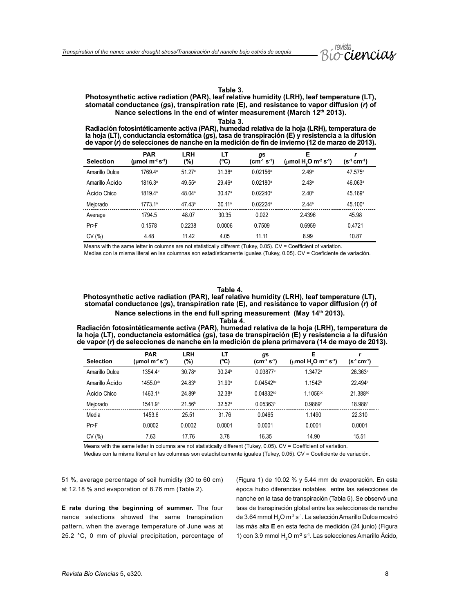#### **Table 3.**

#### **Photosynthetic active radiation (PAR), leaf relative humidity (LRH), leaf temperature (LT), stomatal conductance (***g***s), transpiration rate (E), and resistance to vapor diffusion (***r***) of Nance selections in the end of winter measurement (March 12th 2013).**

**Tabla 3. Radiación fotosintéticamente activa (PAR), humedad relativa de la hoja (LRH), temperatura de la hoja (LT), conductancia estomática (***g***s), tasa de transpiración (E) y resistencia a la difusión de vapor (***r***) de selecciones de nanche en la medición de fin de invierno (12 de marzo de 2013).**

| <b>Selection</b> | <b>PAR</b><br>(µmol m <sup>.2</sup> s <sup>.1</sup> ) | <b>LRH</b><br>$(\% )$ | LT<br>(°C)         | gs<br>$(cm-1 S-1)$     | Е<br>( $\mu$ mol H <sub>2</sub> O m <sup>-2</sup> s <sup>-1</sup> ) | r<br>$(s-1 cm-1)$   |
|------------------|-------------------------------------------------------|-----------------------|--------------------|------------------------|---------------------------------------------------------------------|---------------------|
| Amarillo Dulce   | 1769.4ª                                               | 51.27 <sup>a</sup>    | 31.38 <sup>a</sup> | $0.02156^{\circ}$      | 2.49 <sup>a</sup>                                                   | $47.575^{\circ}$    |
| Amarillo Ácido   | 1816.3ª                                               | 49.55 <sup>a</sup>    | 29.46a             | $0.02180^{\circ}$      | 2.43 <sup>a</sup>                                                   | 46.063 <sup>a</sup> |
| Ácido Chico      | 1819.4 <sup>a</sup>                                   | 48.04 <sup>a</sup>    | 30.47a             | $0.02240$ <sup>a</sup> | 2.40 <sup>a</sup>                                                   | 45.169 <sup>a</sup> |
| Mejorado         | 1773.1a                                               | 47.43 <sup>a</sup>    | 30.11a             | $0.02224$ <sup>a</sup> | 2.44a                                                               | 45.100 <sup>a</sup> |
| Average          | 1794.5                                                | 48.07                 | 30.35              | 0.022                  | 2.4396                                                              | 45.98               |
| Pr               | 0.1578                                                | 0.2238                | 0.0006             | 0.7509                 | 0.6959                                                              | 0.4721              |
| CV(%)            | 4.48                                                  | 11.42                 | 4.05               | 11.11                  | 8.99                                                                | 10.87               |

Means with the same letter in columns are not statistically different (Tukey, 0.05). CV = Coefficient of variation. Medias con la misma literal en las columnas son estadísticamente iguales (Tukey, 0.05). CV = Coeficiente de variación.

#### **Table 4.**

**Photosynthetic active radiation (PAR), leaf relative humidity (LRH), leaf temperature (LT), stomatal conductance (***g***s), transpiration rate (E), and resistance to vapor diffusion (***r***) of**  Nance selections in the end full spring measurement (May 14<sup>th</sup> 2013). **Tabla 4.**

**Radiación fotosintéticamente activa (PAR), humedad relativa de la hoja (LRH), temperatura de la hoja (LT), conductancia estomática (***g***s), tasa de transpiración (E) y resistencia a la difusión de vapor (***r***) de selecciones de nanche en la medición de plena primavera (14 de mayo de 2013).**

| <b>Selection</b> | <b>PAR</b><br>(umol $m^2 s^4$ ) | <b>LRH</b><br>(%)  | LT<br>(°C)         | gs<br>$(cm-1 s-1)$ | Е<br>( $\mu$ mol H <sub>2</sub> O m <sup>-2</sup> s <sup>-1</sup> ) | $(s^4 cm^4)$        |
|------------------|---------------------------------|--------------------|--------------------|--------------------|---------------------------------------------------------------------|---------------------|
| Amarillo Dulce   | 1354.4 <sup>b</sup>             | 30.78a             | 30.24 <sup>b</sup> | 0.03877c           | 1.3472a                                                             | 26.363a             |
| Amarillo Ácido   | 1455.0 <sup>ab</sup>            | 24.83 <sup>b</sup> | 31.90 <sup>a</sup> | $0.04542^{bc}$     | 1.1542 <sup>b</sup>                                                 | 22.494 <sup>b</sup> |
| Ácido Chico      | 1463.1ª                         | 24.89 <sup>b</sup> | 32.38 <sup>a</sup> | $0.04832^{ab}$     | 1.1056 <sup>bc</sup>                                                | 21.388bc            |
| Mejorado         | 1541.9 <sup>a</sup>             | 21.56 <sup>b</sup> | $32.52^a$          | $0.05363^{\circ}$  | 0.9889c                                                             | 18.988c             |
| Media            | 1453.6                          | 25.51              | 31.76              | 0.0465             | 1.1490                                                              | 22.310              |
| Pr               | 0.0002                          | 0.0002             | 0.0001             | 0.0001             | 0.0001                                                              | 0.0001              |
| CV(%)            | 7.63                            | 17.76              | 3.78               | 16.35              | 14.90                                                               | 15.51               |

Means with the same letter in columns are not statistically different (Tukey, 0.05). CV = Coefficient of variation.

Medias con la misma literal en las columnas son estadísticamente iguales (Tukey, 0.05). CV = Coeficiente de variación.

51 %, average percentage of soil humidity (30 to 60 cm) at 12.18 % and evaporation of 8.76 mm (Table 2).

**E rate during the beginning of summer.** The four nance selections showed the same transpiration pattern, when the average temperature of June was at 25.2 °C, 0 mm of pluvial precipitation, percentage of (Figura 1) de 10.02 % y 5.44 mm de evaporación. En esta época hubo diferencias notables entre las selecciones de nanche en la tasa de transpiración (Tabla 5). Se observó una tasa de transpiración global entre las selecciones de nanche de 3.64 mmol  $H<sub>2</sub>O$  m<sup>-2</sup> s<sup>-1</sup>. La selección Amarillo Dulce mostró las más alta **E** en esta fecha de medición (24 junio) (Figura 1) con 3.9 mmol  $H_2O$  m<sup>-2</sup> s<sup>-1</sup>. Las selecciones Amarillo Acido,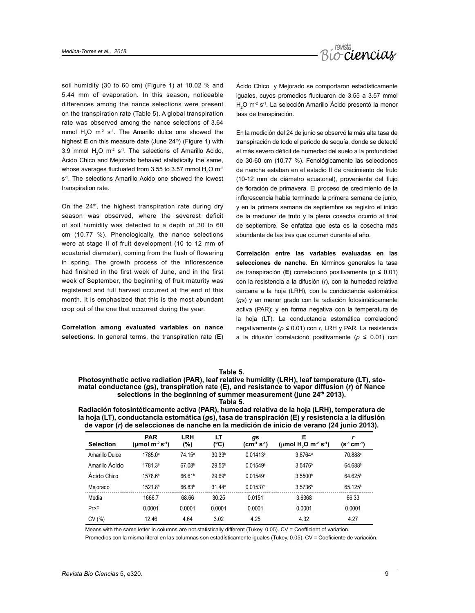

soil humidity (30 to 60 cm) (Figure 1) at 10.02 % and 5.44 mm of evaporation. In this season, noticeable differences among the nance selections were present on the transpiration rate (Table 5). A global transpiration rate was observed among the nance selections of 3.64 mmol  $H_2O$  m<sup>-2</sup> s<sup>-1</sup>. The Amarillo dulce one showed the highest **E** on this measure date (June 24<sup>th</sup>) (Figure 1) with 3.9 mmol  $H_2O$  m<sup>-2</sup> s<sup>-1</sup>. The selections of Amarillo Acido, Ácido Chico and Mejorado behaved statistically the same, whose averages fluctuated from 3.55 to 3.57 mmol  $\rm H_2O$  m $^2$ s<sup>-1</sup>. The selections Amarillo Acido one showed the lowest transpiration rate.

On the 24<sup>th</sup>, the highest transpiration rate during dry season was observed, where the severest deficit of soil humidity was detected to a depth of 30 to 60 cm (10.77 %). Phenologically, the nance selections were at stage II of fruit development (10 to 12 mm of ecuatorial diameter), coming from the flush of flowering in spring. The growth process of the inflorescence had finished in the first week of June, and in the first week of September, the beginning of fruit maturity was registered and full harvest occurred at the end of this month. It is emphasized that this is the most abundant crop out of the one that occurred during the year.

**Correlation among evaluated variables on nance selections.** In general terms, the transpiration rate (**E**)

Ácido Chico y Mejorado se comportaron estadísticamente iguales, cuyos promedios fluctuaron de 3.55 a 3.57 mmol  $H<sub>2</sub>$ O m<sup>-2</sup> s<sup>-1</sup>. La selección Amarillo Ácido presentó la menor tasa de transpiración.

En la medición del 24 de junio se observó la más alta tasa de transpiración de todo el periodo de sequía, donde se detectó el más severo déficit de humedad del suelo a la profundidad de 30-60 cm (10.77 %). Fenológicamente las selecciones de nanche estaban en el estadio II de crecimiento de fruto (10-12 mm de diámetro ecuatorial), proveniente del flujo de floración de primavera. El proceso de crecimiento de la inflorescencia había terminado la primera semana de junio, y en la primera semana de septiembre se registró el inicio de la madurez de fruto y la plena cosecha ocurrió al final de septiembre. Se enfatiza que esta es la cosecha más abundante de las tres que ocurren durante el año.

**Correlación entre las variables evaluadas en las selecciones de nanche**. En términos generales la tasa de transpiración (**E**) correlacionó positivamente (*p* ≤ 0.01) con la resistencia a la difusión (*r*), con la humedad relativa cercana a la hoja (LRH), con la conductancia estomática (*g*s) y en menor grado con la radiación fotosintéticamente activa (PAR); y en forma negativa con la temperatura de la hoja (LT). La conductancia estomática correlacionó negativamente (*p* ≤ 0.01) con *r*, LRH y PAR. La resistencia a la difusión correlacionó positivamente (*p* ≤ 0.01) con

#### **Table 5.**

#### **Photosynthetic active radiation (PAR), leaf relative humidity (LRH), leaf temperature (LT), stomatal conductance (***g***s), transpiration rate (E), and resistance to vapor diffusion (***r***) of Nance**  selections in the beginning of summer measurement (june 24<sup>th</sup> 2013). **Tabla 5.**

**Radiación fotosintéticamente activa (PAR), humedad relativa de la hoja (LRH), temperatura de la hoja (LT), conductancia estomática (***g***s), tasa de transpiración (E) y resistencia a la difusión de vapor (***r***) de selecciones de nanche en la medición de inicio de verano (24 junio 2013).**

| <b>Selection</b> | <b>PAR</b><br>(µmol m <sup>.2</sup> s <sup>.1</sup> ) | LRH<br>(%)         | LT<br>(°C)         | gs<br>$(cm-1 S-1)$     | Е<br>( $\mu$ mol H <sub>2</sub> O m <sup>-2</sup> s <sup>-1</sup> ) | (s <sup>-1</sup> cm <sup>-1</sup> ) |
|------------------|-------------------------------------------------------|--------------------|--------------------|------------------------|---------------------------------------------------------------------|-------------------------------------|
| Amarillo Dulce   | 1785.0 <sup>a</sup>                                   | 74.15 <sup>a</sup> | 30.33 <sup>b</sup> | 0.01413 <sup>b</sup>   | 3.8764 <sup>a</sup>                                                 | 70.888ª                             |
| Amarillo Ácido   | 1781.3ª                                               | 67.08 <sup>b</sup> | 29.55 <sup>b</sup> | 0.01549a               | 3.5476 <sup>b</sup>                                                 | 64.688 <sup>b</sup>                 |
| Ácido Chico      | 1578.6 <sup>b</sup>                                   | 66.61 <sup>b</sup> | 29.69 <sup>b</sup> | $0.01549$ <sup>a</sup> | 3.5500 <sup>b</sup>                                                 | 64.625 <sup>b</sup>                 |
| Mejorado         | 1521.8 <sup>b</sup>                                   | 66.83 <sup>b</sup> | 31.44a             | $0.01537$ <sup>a</sup> | 3.5736 <sup>b</sup>                                                 | 65.125 <sup>b</sup>                 |
| Media            | 1666.7                                                | 68.66              | 30.25              | 0.0151                 | 3.6368                                                              | 66.33                               |
| Pr>F             | 0.0001                                                | 0.0001             | 0.0001             | 0.0001                 | 0.0001                                                              | 0.0001                              |
| CV (%)           | 12.46                                                 | 4.64               | 3.02               | 4.25                   | 4.32                                                                | 4.27                                |

Means with the same letter in columns are not statistically different (Tukey, 0.05). CV = Coefficient of variation.

Promedios con la misma literal en las columnas son estadísticamente iguales (Tukey, 0.05). CV = Coeficiente de variación.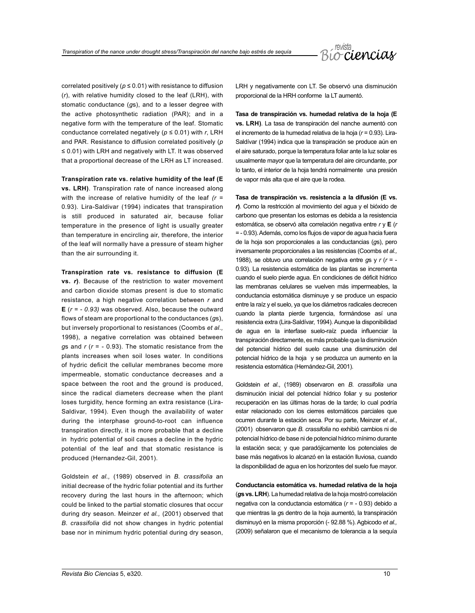

correlated positively ( $p \le 0.01$ ) with resistance to diffusion (*r*), with relative humidity closed to the leaf (LRH), with stomatic conductance (*g*s), and to a lesser degree with the active photosynthetic radiation (PAR); and in a negative form with the temperature of the leaf. Stomatic conductance correlated negatively (*p* ≤ 0.01) with *r*, LRH and PAR. Resistance to diffusion correlated positively (*p* ≤ 0.01) with LRH and negatively with LT. It was observed that a proportional decrease of the LRH as LT increased.

**Transpiration rate vs. relative humidity of the leaf (E vs. LRH)**. Transpiration rate of nance increased along with the increase of relative humidity of the leaf *(r* = 0.93). Lira-Saldivar (1994) indicates that transpiration is still produced in saturated air, because foliar temperature in the presence of light is usually greater than temperature in encircling air, therefore, the interior of the leaf will normally have a pressure of steam higher than the air surrounding it.

**Transpiration rate vs. resistance to diffusion (E vs.** *r***)**. Because of the restriction to water movement and carbon dioxide stomas present is due to stomatic resistance, a high negative correlation between *r* and **E** (*r = - 0.93)* was observed. Also, because the outward flows of steam are proportional to the conductances (*g*s), but inversely proportional to resistances (Coombs *et al.,*  1998), a negative correlation was obtained between *g*s and *r* (*r* = - 0.93). The stomatic resistance from the plants increases when soil loses water. In conditions of hydric deficit the cellular membranes become more impermeable, stomatic conductance decreases and a space between the root and the ground is produced, since the radical diameters decrease when the plant loses turgidity, hence forming an extra resistance (Lira-Saldivar, 1994). Even though the availability of water during the interphase ground-to-root can influence transpiration directly, it is more probable that a decline in hydric potential of soil causes a decline in the hydric potential of the leaf and that stomatic resistance is produced (Hernandez-Gil, 2001).

Goldstein *et al.,* (1989) observed in *B. crassifolia* an initial decrease of the hydric foliar potential and its further recovery during the last hours in the afternoon; which could be linked to the partial stomatic closures that occur during dry season. Meinzer *et al.,* (2001) observed that *B*. *crassifolia* did not show changes in hydric potential base nor in minimum hydric potential during dry season, LRH y negativamente con LT. Se observó una disminución proporcional de la HRH conforme la LT aumentó.

**Tasa de transpiración vs. humedad relativa de la hoja (E vs. LRH)**. La tasa de transpiración del nanche aumentó con el incremento de la humedad relativa de la hoja (*r* = 0.93). Lira-Saldívar (1994) indica que la transpiración se produce aún en el aire saturado, porque la temperatura foliar ante la luz solar es usualmente mayor que la temperatura del aire circundante, por lo tanto, el interior de la hoja tendrá normalmente una presión de vapor más alta que el aire que la rodea.

**Tasa de transpiración vs. resistencia a la difusión (E vs.**  *r***)**. Como la restricción al movimiento del agua y el bióxido de carbono que presentan los estomas es debida a la resistencia estomática, se observó alta correlación negativa entre *r* y **E** (*r* = - 0.93). Además, como los flujos de vapor de agua hacia fuera de la hoja son proporcionales a las conductancias (*g*s), pero inversamente proporcionales a las resistencias (Coombs *et al.,* 1988), se obtuvo una correlación negativa entre *g*s y *r* (*r* = - 0.93). La resistencia estomática de las plantas se incrementa cuando el suelo pierde agua. En condiciones de déficit hídrico las membranas celulares se vuelven más impermeables, la conductancia estomática disminuye y se produce un espacio entre la raíz y el suelo, ya que los diámetros radicales decrecen cuando la planta pierde turgencia, formándose así una resistencia extra (Lira-Saldívar, 1994). Aunque la disponibilidad de agua en la interfase suelo-raíz pueda influenciar la transpiración directamente, es más probable que la disminución del potencial hídrico del suelo cause una disminución del potencial hídrico de la hoja y se produzca un aumento en la resistencia estomática (Hernández-Gil, 2001).

Goldstein *et al*., (1989) observaron en *B. crassifolia* una disminución inicial del potencial hídrico foliar y su posterior recuperación en las últimas horas de la tarde; lo cual podría estar relacionado con los cierres estomáticos parciales que ocurren durante la estación seca. Por su parte, Meinzer *et al*., (2001) observaron que *B. crassifolia* no exhibió cambios ni de potencial hídrico de base ni de potencial hídrico mínimo durante la estación seca; y que paradójicamente los potenciales de base más negativos lo alcanzó en la estación lluviosa, cuando la disponibilidad de agua en los horizontes del suelo fue mayor.

**Conductancia estomática vs. humedad relativa de la hoja** (*g***s vs. LRH**). La humedad relativa de la hoja mostró correlación negativa con la conductancia estomática (*r* = - 0.93) debido a que mientras la *g*s dentro de la hoja aumentó, la transpiración disminuyó en la misma proporción (- 92.88 %). Agbicodo *et al.,* (2009) señalaron que el mecanismo de tolerancia a la sequía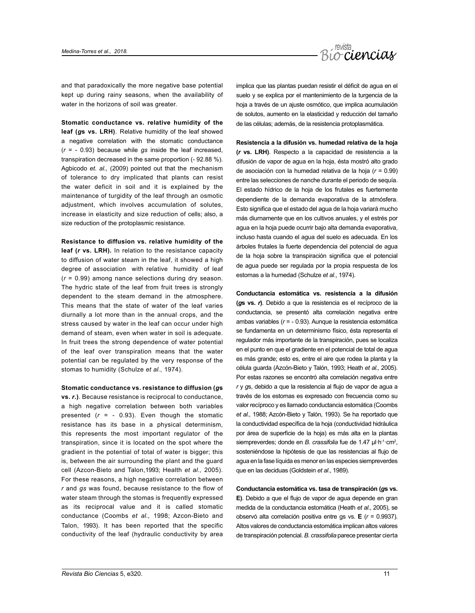

and that paradoxically the more negative base potential kept up during rainy seasons, when the availability of water in the horizons of soil was greater.

**Stomatic conductance vs. relative humidity of the leaf (***g***s vs. LRH)**. Relative humidity of the leaf showed a negative correlation with the stomatic conductance (*r* = - 0.93) because while *gs* inside the leaf increased, transpiration decreased in the same proportion (- 92.88 %). Agbicodo *et. al.,* (2009) pointed out that the mechanism of tolerance to dry implicated that plants can resist the water deficit in soil and it is explained by the maintenance of turgidity of the leaf through an osmotic adjustment, which involves accumulation of solutes, increase in elasticity and size reduction of cells; also, a size reduction of the protoplasmic resistance.

**Resistance to diffusion vs. relative humidity of the leaf (***r* **vs. LRH).** In relation to the resistance capacity to diffusion of water steam in the leaf, it showed a high degree of association with relative humidity of leaf (*r* = 0.99) among nance selections during dry season. The hydric state of the leaf from fruit trees is strongly dependent to the steam demand in the atmosphere. This means that the state of water of the leaf varies diurnally a lot more than in the annual crops, and the stress caused by water in the leaf can occur under high demand of steam, even when water in soil is adequate. In fruit trees the strong dependence of water potential of the leaf over transpiration means that the water potential can be regulated by the very response of the stomas to humidity (Schulze *et al.,* 1974).

**Stomatic conductance vs. resistance to diffusion (***g***s vs.** *r***.)**. Because resistance is reciprocal to conductance, a high negative correlation between both variables presented  $(r = -0.93)$ . Even though the stomatic resistance has its base in a physical determinism, this represents the most important regulator of the transpiration, since it is located on the spot where the gradient in the potential of total of water is bigger; this is, between the air surrounding the plant and the guard cell (Azcon-Bieto and Talon,1993; Health *et al.,* 2005). For these reasons, a high negative correlation between *r* and *gs* was found, because resistance to the flow of water steam through the stomas is frequently expressed as its reciprocal value and it is called stomatic conductance (Coombs *et al.,* 1998; Azcon-Bieto and Talon, 1993). It has been reported that the specific conductivity of the leaf (hydraulic conductivity by area

implica que las plantas puedan resistir el déficit de agua en el suelo y se explica por el mantenimiento de la turgencia de la hoja a través de un ajuste osmótico, que implica acumulación de solutos, aumento en la elasticidad y reducción del tamaño de las células; además, de la resistencia protoplasmática.

**Resistencia a la difusión vs. humedad relativa de la hoja (***r* **vs. LRH)**. Respecto a la capacidad de resistencia a la difusión de vapor de agua en la hoja, ésta mostró alto grado de asociación con la humedad relativa de la hoja (*r* = 0.99) entre las selecciones de nanche durante el periodo de sequía. El estado hídrico de la hoja de los frutales es fuertemente dependiente de la demanda evaporativa de la atmósfera. Esto significa que el estado del agua de la hoja variará mucho más diurnamente que en los cultivos anuales, y el estrés por agua en la hoja puede ocurrir bajo alta demanda evaporativa, incluso hasta cuando el agua del suelo es adecuada. En los árboles frutales la fuerte dependencia del potencial de agua de la hoja sobre la transpiración significa que el potencial de agua puede ser regulada por la propia respuesta de los estomas a la humedad (Schulze *et al*., 1974).

**Conductancia estomática vs. resistencia a la difusión (***g***s vs.** *r***)**. Debido a que la resistencia es el recíproco de la conductancia, se presentó alta correlación negativa entre ambas variables (*r* = - 0.93). Aunque la resistencia estomática se fundamenta en un determinismo físico, ésta representa el regulador más importante de la transpiración, pues se localiza en el punto en que el gradiente en el potencial de total de agua es más grande; esto es, entre el aire que rodea la planta y la célula guarda (Azcón-Bieto y Talón, 1993; Heath *et al.,* 2005). Por estas razones se encontró alta correlación negativa entre *r* y *g*s, debido a que la resistencia al flujo de vapor de agua a través de los estomas es expresado con frecuencia como su valor recíproco y es llamado conductancia estomática (Coombs *et al.,* 1988; Azcón-Bieto y Talón, 1993). Se ha reportado que la conductividad específica de la hoja (conductividad hidráulica por área de superficie de la hoja) es más alta en la plantas siempreverdes; donde en *B. crassifolia* fue de 1.47 μl·h<sup>-1</sup>·cm<sup>2</sup>, sosteniéndose la hipótesis de que las resistencias al flujo de agua en la fase líquida es menor en las especies siempreverdes que en las deciduas (Goldstein *et al*., 1989).

**Conductancia estomática vs. tasa de transpiración (***g***s vs. E)**. Debido a que el flujo de vapor de agua depende en gran medida de la conductancia estomática (Heath *et al*., 2005), se observó alta correlación positiva entre gs vs. **E** (*r* = 0.9937). Altos valores de conductancia estomática implican altos valores de transpiración potencial. *B. crassifolia* parece presentar cierta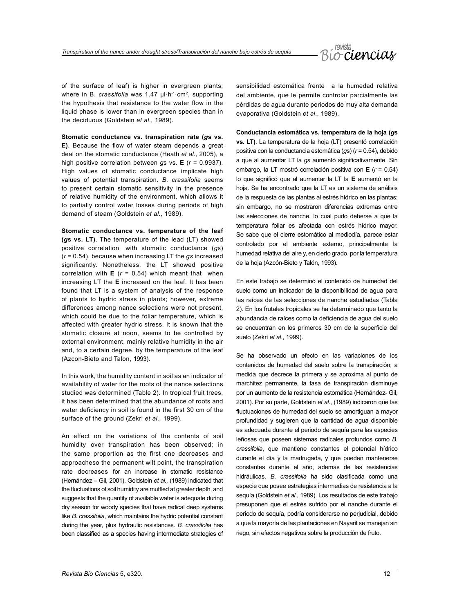

of the surface of leaf) is higher in evergreen plants; where in B. *crassifolia* was 1.47 ul·h<sup>-1</sup>·cm<sup>2</sup>, supporting the hypothesis that resistance to the water flow in the liquid phase is lower than in evergreen species than in the deciduous (Goldstein *et al.,* 1989).

**Stomatic conductance vs. transpiration rate (***a***s vs. E)**. Because the flow of water steam depends a great deal on the stomatic conductance (Heath *et al.,* 2005), a high positive correlation between *g*s vs. **E** (*r* = 0.9937). High values of stomatic conductance implicate high values of potential transpiration. *B*. *crassifolia* seems to present certain stomatic sensitivity in the presence of relative humidity of the environment, which allows it to partially control water losses during periods of high demand of steam (Goldstein *et al.,* 1989).

**Stomatic conductance vs. temperature of the leaf (***g***s vs. LT)**. The temperature of the lead (LT) showed positive correlation with stomatic conductance (*g*s) (*r* = 0.54), because when increasing LT the *gs* increased significantly. Nonetheless, the LT showed positive correlation with  $E$  ( $r = 0.54$ ) which meant that when increasing LT the **E** increased on the leaf. It has been found that LT is a system of analysis of the response of plants to hydric stress in plants; however, extreme differences among nance selections were not present, which could be due to the foliar temperature, which is affected with greater hydric stress. It is known that the stomatic closure at noon, seems to be controlled by external environment, mainly relative humidity in the air and, to a certain degree, by the temperature of the leaf (Azcon-Bieto and Talon, 1993).

In this work, the humidity content in soil as an indicator of availability of water for the roots of the nance selections studied was determined (Table 2). In tropical fruit trees, it has been determined that the abundance of roots and water deficiency in soil is found in the first 30 cm of the surface of the ground (Zekri *et al.,* 1999).

An effect on the variations of the contents of soil humidity over transpiration has been observed; in the same proportion as the first one decreases and approacheso the permanent wilt point, the transpiration rate decreases for an increase in stomatic resistance (Hernández – Gil, 2001). Goldstein *et al.,* (1989) indicated that the fluctuations of soil humidity are muffled at greater depth, and suggests that the quantity of available water is adequate during dry season for woody species that have radical deep systems like *B*. *crassifolia*, which maintains the hydric potential constant during the year, plus hydraulic resistances. *B. crassifolia* has been classified as a species having intermediate strategies of sensibilidad estomática frente a la humedad relativa del ambiente, que le permite controlar parcialmente las pérdidas de agua durante periodos de muy alta demanda evaporativa (Goldstein *et al*., 1989).

**Conductancia estomática vs. temperatura de la hoja (***g***s vs. LT)**. La temperatura de la hoja (LT) presentó correlación positiva con la conductancia estomática (*g*s) (*r* = 0.54), debido a que al aumentar LT la *gs* aumentó significativamente. Sin embargo, la LT mostró correlación positiva con **E** (*r* = 0.54) lo que significó que al aumentar la LT la **E** aumentó en la hoja. Se ha encontrado que la LT es un sistema de análisis de la respuesta de las plantas al estrés hídrico en las plantas; sin embargo, no se mostraron diferencias extremas entre las selecciones de nanche, lo cual pudo deberse a que la temperatura foliar es afectada con estrés hídrico mayor. Se sabe que el cierre estomático al mediodía, parece estar controlado por el ambiente externo, principalmente la humedad relativa del aire y, en cierto grado, por la temperatura de la hoja (Azcón-Bieto y Talón, 1993).

En este trabajo se determinó el contenido de humedad del suelo como un indicador de la disponibilidad de agua para las raíces de las selecciones de nanche estudiadas (Tabla 2). En los frutales tropicales se ha determinado que tanto la abundancia de raíces como la deficiencia de agua del suelo se encuentran en los primeros 30 cm de la superficie del suelo (Zekri *et al*., 1999).

Se ha observado un efecto en las variaciones de los contenidos de humedad del suelo sobre la transpiración; a medida que decrece la primera y se aproxima al punto de marchitez permanente, la tasa de transpiración disminuye por un aumento de la resistencia estomática (Hernández- Gil, 2001). Por su parte, Goldstein *et al*., (1989) indicaron que las fluctuaciones de humedad del suelo se amortiguan a mayor profundidad y sugieren que la cantidad de agua disponible es adecuada durante el periodo de sequía para las especies leñosas que poseen sistemas radicales profundos como *B. crassifolia*, que mantiene constantes el potencial hídrico durante el día y la madrugada, y que pueden mantenerse constantes durante el año, además de las resistencias hidráulicas. *B. crassifolia* ha sido clasificada como una especie que posee estrategias intermedias de resistencia a la sequía (Goldstein *et al*., 1989). Los resultados de este trabajo presuponen que el estrés sufrido por el nanche durante el periodo de sequía, podría considerarse no perjudicial, debido a que la mayoría de las plantaciones en Nayarit se manejan sin riego, sin efectos negativos sobre la producción de fruto.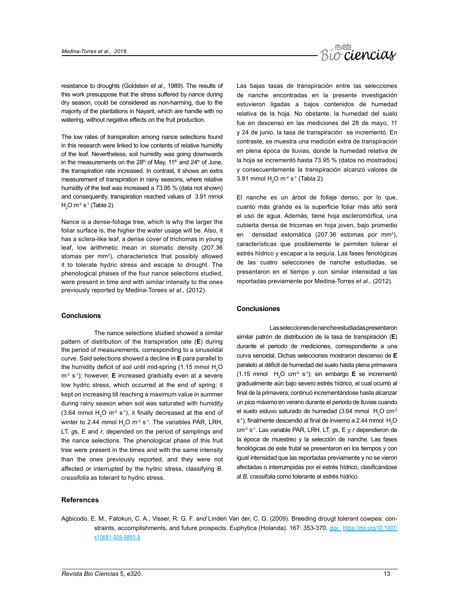

resistance to droughts (Goldstein *et al.,* 1989). The results of this work presuppose that the stress suffered by nance during dry season, could be considered as non-harming, due to the majority of the plantations in Nayarit, which are handle with no watering, without negative effects on the fruit production.

The low rates of transpiration among nance selections found in this research were linked to low contents of relative humidity of the leaf. Nevertheless, soil humidity was going downwards in the measurements on the  $28<sup>th</sup>$  of May, 11<sup>th</sup> and  $24<sup>th</sup>$  of June, the transpiration rate increased. In contrast, it shows an extra measurement of transpiration in rainy seasons, where relative humidity of the leaf was increased a 73.95 % (data not shown) and consequently, transpiration reached values of 3.91 mmol  $H<sub>2</sub>$ O m<sup>-2</sup> s<sup>-1</sup> (Table 2).

Nance is a dense-foliage tree, which is why the larger the foliar surface is, the higher the water usage will be. Also, it has a sclera-like leaf, a dense cover of trichomas in young leaf, low arithmetic mean in stomatic density (207.36 stomas per mm<sup>2</sup>), characteristics that possibly allowed it to tolerate hydric stress and escape to drought. The phenological phases of the four nance selections studied, were present in time and with similar intensity to the ones previously reported by Medina-Torees *et al.,* (2012).

#### **Conclusions**

The nance selections studied showed a similar pattern of distribution of the transpiration rate (**E**) during the period of measurements, corresponding to a sinusoidal curve. Said selections showed a decline in **E** para parallel to the humidity deficit of soil until mid-spring (1.15 mmol  $H_2O$ m<sup>-2</sup> s<sup>-1</sup>); however, **E** increased gradually even at a severe low hydric stress, which occurred at the end of spring; it kept on increasing till reaching a maximum value in summer during rainy season when soil was saturated with humidity  $(3.64 \text{ mmol H}_2\text{O m}^2 \text{ s}^{-1})$ , it finally decreased at the end of winter to 2.44 mmol  $H_2O$  m<sup>-2</sup> s<sup>-1</sup>. The variables PAR, LRH, LT, *g*s, E and *r*, depended on the period of samplings and the nance selections. The phenological phase of this fruit tree were present in the times and with the same intensity than the ones previously reported, and they were not affected or interrupted by the hydric stress, classifying *B*. *crassifolia* as tolerant to hydric stress.

#### **References**

Las bajas tasas de transpiración entre las selecciones de nanche encontradas en la presente investigación estuvieron ligadas a bajos contenidos de humedad relativa de la hoja. No obstante, la humedad del suelo fue en descenso en las mediciones del 28 de mayo, 11 y 24 de junio, la tasa de transpiración se incrementó. En contraste, se muestra una medición extra de transpiración en plena época de lluvias, donde la humedad relativa de la hoja se incrementó hasta 73.95 % (datos no mostrados) y consecuentemente la transpiración alcanzó valores de 3.91 mmol  $H_2O$  m<sup>-2</sup> s<sup>-1</sup> (Tabla 2).

El nanche es un árbol de follaje denso, por lo que, cuanto más grande es la superficie foliar más alto será el uso de agua. Además, tiene hoja escleromórfica, una cubierta densa de tricomas en hoja joven, bajo promedio en densidad estomática (207.36 estomas por mm<sup>2</sup>), características que posiblemente le permiten tolerar el estrés hídrico y escapar a la sequía. Las fases fenológicas de las cuatro selecciones de nanche estudiadas, se presentaron en el tiempo y con similar intensidad a las reportadas previamente por Medina-Torres *et al*., (2012).

#### **Conclusiones**

Las selecciones de nanche estudiadas presentaron similar patrón de distribución de la tasa de transpiración (**E**) durante el periodo de mediciones, correspondiente a una curva senoidal. Dichas selecciones mostraron descenso de **E** paralelo al déficit de humedad del suelo hasta plena primavera  $(1.15 \text{ mmol H}_2\text{O cm}^2 \text{ s}^3)$ ; sin embargo **E** se incrementó gradualmente aún bajo severo estrés hídrico, el cual ocurrió al final de la primavera; continuó incrementándose hasta alcanzar un pico máximo en verano durante el periodo de lluvias cuando el suelo estuvo saturado de humedad (3.64 mmol  $H_2O$  cm<sup>2</sup>  $s<sup>-1</sup>$ ), finalmente descendió al final de invierno a 2.44 mmol  $H<sub>2</sub>O$ cm-2 s-1. Las variable PAR, LRH, LT, *g*s, E y *r* dependieron de la época de muestreo y la selección de nanche. Las fases fenológicas de este frutal se presentaron en los tiempos y con igual intensidad que las reportadas previamente y no se vieron afectadas o interrumpidas por el estrés hídrico, clasificándose al *B. crassifolia* como tolerante al estrés hídrico.

Agbicodo, E. M., Fatokun, C. A., Visser, R. G. F. *and* Linden Van der, C. G. (2009). Breeding drougt tolerant cowpea: constraints, accomplishments, and future prospects. Euphytica (Holanda). 167: 353-370. [doi:](https://doi.org/10.1007/s10681-009-9893-8) [https://doi.org/10.1007/](https://doi.org/10.1007/s10681-009-9893-8) [s10681-009-9893-8](https://doi.org/10.1007/s10681-009-9893-8)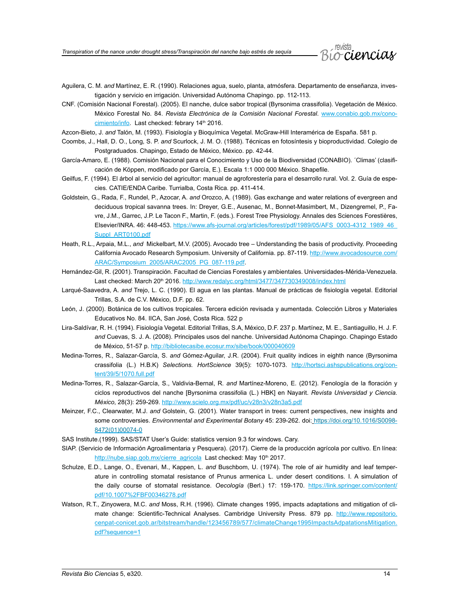*Transpiration of the nance under drought stress/Transpiración del nanche bajo estrés de sequía*



- Aguilera, C. M. *and* Martínez, E. R. (1990). Relaciones agua, suelo, planta, atmósfera. Departamento de enseñanza, investigación y servicio en irrigación. Universidad Autónoma Chapingo. pp. 112-113.
- CNF. (Comisión Nacional Forestal). (2005). El nanche, dulce sabor tropical (Byrsonima crassifolia). Vegetación de México. México Forestal No. 84. *Revista Electrónica de la Comisión Nacional Forestal*. [www.conabio.gob.mx/cono](http://www.conabio.gob.mx/conocimiento/info)[cimiento/info](http://www.conabio.gob.mx/conocimiento/info). Last checked: febrary 14<sup>th</sup> 2016.
- Azcon-Bieto, J. *and* Talón, M. (1993). Fisiología y Bioquímica Vegetal. McGraw-Hill Interamérica de España. 581 p.
- Coombs, J., Hall, D. O., Long, S. P. *and* Scurlock, J. M. O. (1988). Técnicas en fotosíntesis y bioproductividad. Colegio de Postgraduados. Chapingo, Estado de México, México. pp. 42-44.
- García-Amaro, E. (1988). Comisión Nacional para el Conocimiento y Uso de la Biodiversidad (CONABIO). ´Climas' (clasificación de Köppen, modificado por García, E.). Escala 1:1 000 000 México. Shapefile.
- Geilfus, F. (1994). El árbol al servicio del agricultor: manual de agroforestería para el desarrollo rural. Vol. 2. Guía de especies. CATIE/ENDA Caribe. Turrialba, Costa Rica. pp. 411-414.
- Goldstein, G., Rada, F., Rundel, P., Azocar, A. *and* Orozco, A. (1989). Gas exchange and water relations of evergreen and deciduous tropical savanna trees. In: Dreyer, G.E., Ausenac, M., Bonnet-Masimbert, M., Dizengremel, P., Favre, J.M., Garrec, J.P. Le Tacon F., Martin, F. (eds.). Forest Tree Physiology. Annales des Sciences Forestières, Elsevier/INRA. 46: 448-453. https://www.afs-journal.org/articles/forest/pdf/1989/05/AFS\_0003-4312\_1989\_46 [Suppl\\_ART0100.pdf](https://www.afs-journal.org/articles/forest/pdf/1989/05/AFS_0003-4312_1989_46_Suppl_ART0100.pdf)
- Heath, R.L., Arpaia, M.L., *and* Mickelbart, M.V. (2005). Avocado tree Understanding the basis of productivity. Proceeding California Avocado Research Symposium. University of California. pp. 87-119. [http://www.avocadosource.com/](http://www.avocadosource.com/ARAC/Symposium_2005/ARAC2005_PG_087-119.pdf) [ARAC/Symposium\\_2005/ARAC2005\\_PG\\_087-119.pdf](http://www.avocadosource.com/ARAC/Symposium_2005/ARAC2005_PG_087-119.pdf).
- Hernández-Gil, R. (2001). Transpiración. Facultad de Ciencias Forestales y ambientales. Universidades-Mérida-Venezuela. Last checked: March 20<sup>th</sup> 2016.<http://www.redalyc.org/html/3477/347730349008/index.html>
- Larqué-Saavedra, A. *and* Trejo, L. C. (1990). El agua en las plantas. Manual de prácticas de fisiología vegetal. Editorial Trillas, S.A. de C.V. México, D.F. pp. 62.
- León, J. (2000). Botánica de los cultivos tropicales. Tercera edición revisada y aumentada. Colección Libros y Materiales Educativos No. 84. IICA, San José, Costa Rica. 522 p
- Lira-Saldívar, R. H. (1994). Fisiología Vegetal. Editorial Trillas, S.A, México, D.F. 237 p. Martínez, M. E., Santiaguillo, H. J. F. *and* Cuevas, S. J. A. (2008). Principales usos del nanche. Universidad Autónoma Chapingo. Chapingo Estado de México, 51-57 p. <http://bibliotecasibe.ecosur.mx/sibe/book/000040609>
- Medina-Torres, R., Salazar-García, S. *and* Gómez-Aguilar, J.R. (2004). Fruit quality indices in eighth nance (Byrsonima crassifolia (L.) H.B.K) *Selections. HortScience* 39(5): 1070-1073. [http://hortsci.ashspublications.org/con](http://hortsci.ashspublications.org/content/39/5/1070.full.pdf)[tent/39/5/1070.full.pdf](http://hortsci.ashspublications.org/content/39/5/1070.full.pdf)
- Medina-Torres, R., Salazar-García, S., Valdivia-Bernal, R. *and* Martínez-Moreno, E. (2012). Fenología de la floración y ciclos reproductivos del nanche [Byrsonima crassifolia (L.) HBK] en Nayarit. *Revista Universidad y Ciencia. México*, 28(3): 259-269. <http://www.scielo.org.mx/pdf/uc/v28n3/v28n3a5.pdf>
- Meinzer, F.C., Clearwater, M.J. *and* Golstein, G. (2001). Water transport in trees: current perspectives, new insights and some controversies. *Environmental and Experimental Botany* 45: 239-262. doi: [https://doi.org/10.1016/S0098-](https://doi.org/10.1016/S0098-8472(01)00074-0) [8472\(01\)00074-0](https://doi.org/10.1016/S0098-8472(01)00074-0)
- SAS Institute.(1999). SAS/STAT User's Guide: statistics version 9.3 for windows. Cary.
- SIAP. (Servicio de Información Agroalimentaria y Pesquera). (2017). Cierre de la producción agrícola por cultivo. En línea: [http://nube.siap.gob.mx/cierre\\_agricola](http://nube.siap.gob.mx/cierre_agricola/) Last checked: May 10<sup>th</sup> 2017.
- Schulze, E.D., Lange, O., Evenari, M., Kappen, L. *and* Buschbom, U. (1974). The role of air humidity and leaf temperature in controlling stomatal resistance of Prunus armenica L. under desert conditions. I. A simulation of the daily course of stomatal resistance. *Oecología* (Berl.) 17: 159-170. [https://link.springer.com/content/](https://link.springer.com/content/pdf/10.1007%2FBF00346278.pdf) [pdf/10.1007%2FBF00346278.pdf](https://link.springer.com/content/pdf/10.1007%2FBF00346278.pdf)
- Watson, R.T., Zinyowera, M.C. *and* Moss, R.H. (1996). Climate changes 1995, impacts adaptations and mitigation of climate change: Scientific-Technical Analyses. Cambridge University Press. 879 pp. [http://www.repositorio.](http://www.repositorio.cenpat-conicet.gob.ar/bitstream/handle/123456789/577/climateChange1995ImpactsAdpatationsMitigation.pdf?sequence=1) [cenpat-conicet.gob.ar/bitstream/handle/123456789/577/climateChange1995ImpactsAdpatationsMitigation.](http://www.repositorio.cenpat-conicet.gob.ar/bitstream/handle/123456789/577/climateChange1995ImpactsAdpatationsMitigation.pdf?sequence=1) [pdf?sequence=1](http://www.repositorio.cenpat-conicet.gob.ar/bitstream/handle/123456789/577/climateChange1995ImpactsAdpatationsMitigation.pdf?sequence=1)